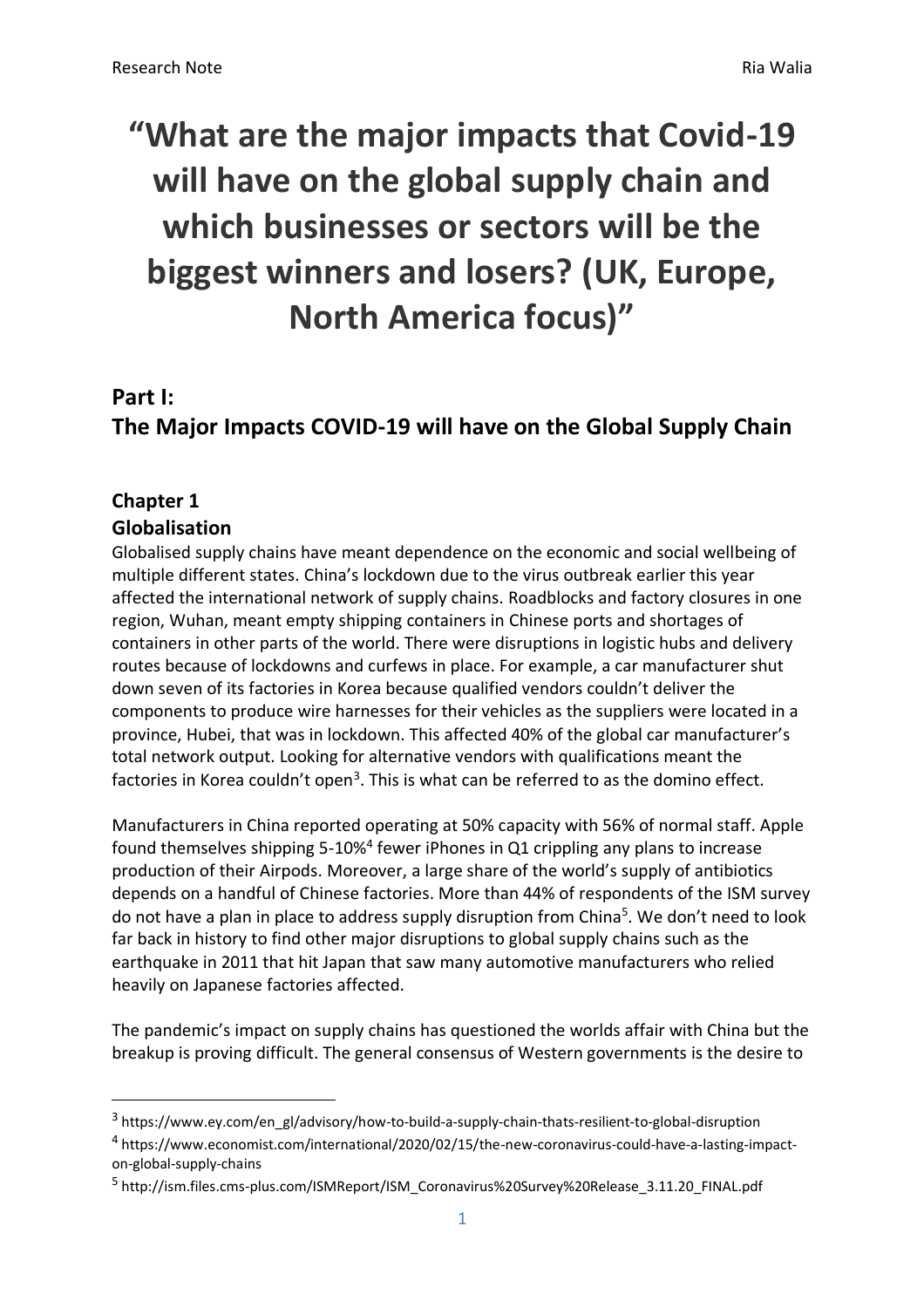# **"What are the major impacts that Covid-19 will have on the global supply chain and which businesses or sectors will be the biggest winners and losers? (UK, Europe, North America focus)"**

### **Part I:**

**The Major Impacts COVID-19 will have on the Global Supply Chain**

#### **Chapter 1 Globalisation**

Globalised supply chains have meant dependence on the economic and social wellbeing of multiple different states. China's lockdown due to the virus outbreak earlier this year affected the international network of supply chains. Roadblocks and factory closures in one region, Wuhan, meant empty shipping containers in Chinese ports and shortages of containers in other parts of the world. There were disruptions in logistic hubs and delivery routes because of lockdowns and curfews in place. For example, a car manufacturer shut down seven of its factories in Korea because qualified vendors couldn't deliver the components to produce wire harnesses for their vehicles as the suppliers were located in a province, Hubei, that was in lockdown. This affected 40% of the global car manufacturer's total network output. Looking for alternative vendors with qualifications meant the factories in Korea couldn't open<sup>3</sup>. This is what can be referred to as the domino effect.

Manufacturers in China reported operating at 50% capacity with 56% of normal staff. Apple found themselves shipping 5-10%<sup>4</sup> fewer iPhones in Q1 crippling any plans to increase production of their Airpods. Moreover, a large share of the world's supply of antibiotics depends on a handful of Chinese factories. More than 44% of respondents of the ISM survey do not have a plan in place to address supply disruption from China<sup>5</sup>. We don't need to look far back in history to find other major disruptions to global supply chains such as the earthquake in 2011 that hit Japan that saw many automotive manufacturers who relied heavily on Japanese factories affected.

The pandemic's impact on supply chains has questioned the worlds affair with China but the breakup is proving difficult. The general consensus of Western governments is the desire to

<sup>&</sup>lt;sup>3</sup> https://www.ey.com/en\_gl/advisory/how-to-build-a-supply-chain-thats-resilient-to-global-disruption 4 https://www.economist.com/international/2020/02/15/the-new-coronavirus-could-have-a-lasting-impacton-global-supply-chains

<sup>&</sup>lt;sup>5</sup> http://ism.files.cms-plus.com/ISMReport/ISM\_Coronavirus%20Survey%20Release\_3.11.20\_FINAL.pdf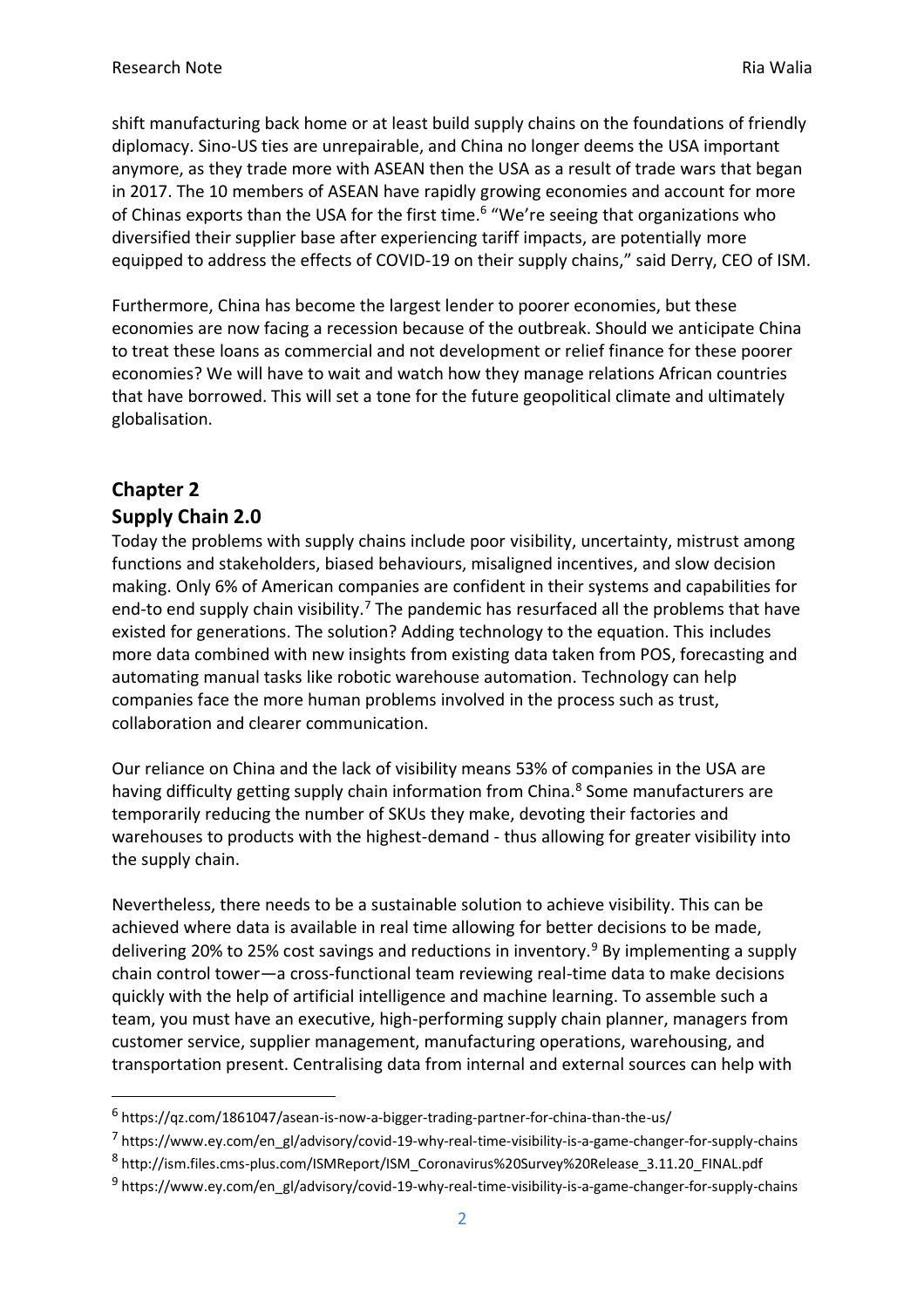shift manufacturing back home or at least build supply chains on the foundations of friendly diplomacy. Sino-US ties are unrepairable, and China no longer deems the USA important anymore, as they trade more with ASEAN then the USA as a result of trade wars that began in 2017. The 10 members of ASEAN have rapidly growing economies and account for more of Chinas exports than the USA for the first time.<sup>6</sup> "We're seeing that organizations who diversified their supplier base after experiencing tariff impacts, are potentially more equipped to address the effects of COVID-19 on their supply chains," said Derry, CEO of ISM.

Furthermore, China has become the largest lender to poorer economies, but these economies are now facing a recession because of the outbreak. Should we anticipate China to treat these loans as commercial and not development or relief finance for these poorer economies? We will have to wait and watch how they manage relations African countries that have borrowed. This will set a tone for the future geopolitical climate and ultimately globalisation.

# **Chapter 2 Supply Chain 2.0**

Today the problems with supply chains include poor visibility, uncertainty, mistrust among functions and stakeholders, biased behaviours, misaligned incentives, and slow decision making. Only 6% of American companies are confident in their systems and capabilities for end-to end supply chain visibility.<sup>7</sup> The pandemic has resurfaced all the problems that have existed for generations. The solution? Adding technology to the equation. This includes more data combined with new insights from existing data taken from POS, forecasting and automating manual tasks like robotic warehouse automation. Technology can help companies face the more human problems involved in the process such as trust, collaboration and clearer communication.

Our reliance on China and the lack of visibility means 53% of companies in the USA are having difficulty getting supply chain information from China.<sup>8</sup> Some manufacturers are temporarily reducing the number of SKUs they make, devoting their factories and warehouses to products with the highest-demand - thus allowing for greater visibility into the supply chain.

Nevertheless, there needs to be a sustainable solution to achieve visibility. This can be achieved where data is available in real time allowing for better decisions to be made, delivering 20% to 25% cost savings and reductions in inventory.<sup>9</sup> By implementing a supply chain control tower—a cross-functional team reviewing real-time data to make decisions quickly with the help of artificial intelligence and machine learning. To assemble such a team, you must have an executive, high-performing supply chain planner, managers from customer service, supplier management, manufacturing operations, warehousing, and transportation present. Centralising data from internal and external sources can help with

<sup>&</sup>lt;sup>6</sup> https://qz.com/1861047/asean-is-now-a-bigger-trading-partner-for-china-than-the-us/

<sup>&</sup>lt;sup>7</sup> https://www.ey.com/en\_gl/advisory/covid-19-why-real-time-visibility-is-a-game-changer-for-supply-chains

<sup>8</sup> http://ism.files.cms-plus.com/ISMReport/ISM\_Coronavirus%20Survey%20Release\_3.11.20\_FINAL.pdf

<sup>&</sup>lt;sup>9</sup> https://www.ey.com/en\_gl/advisory/covid-19-why-real-time-visibility-is-a-game-changer-for-supply-chains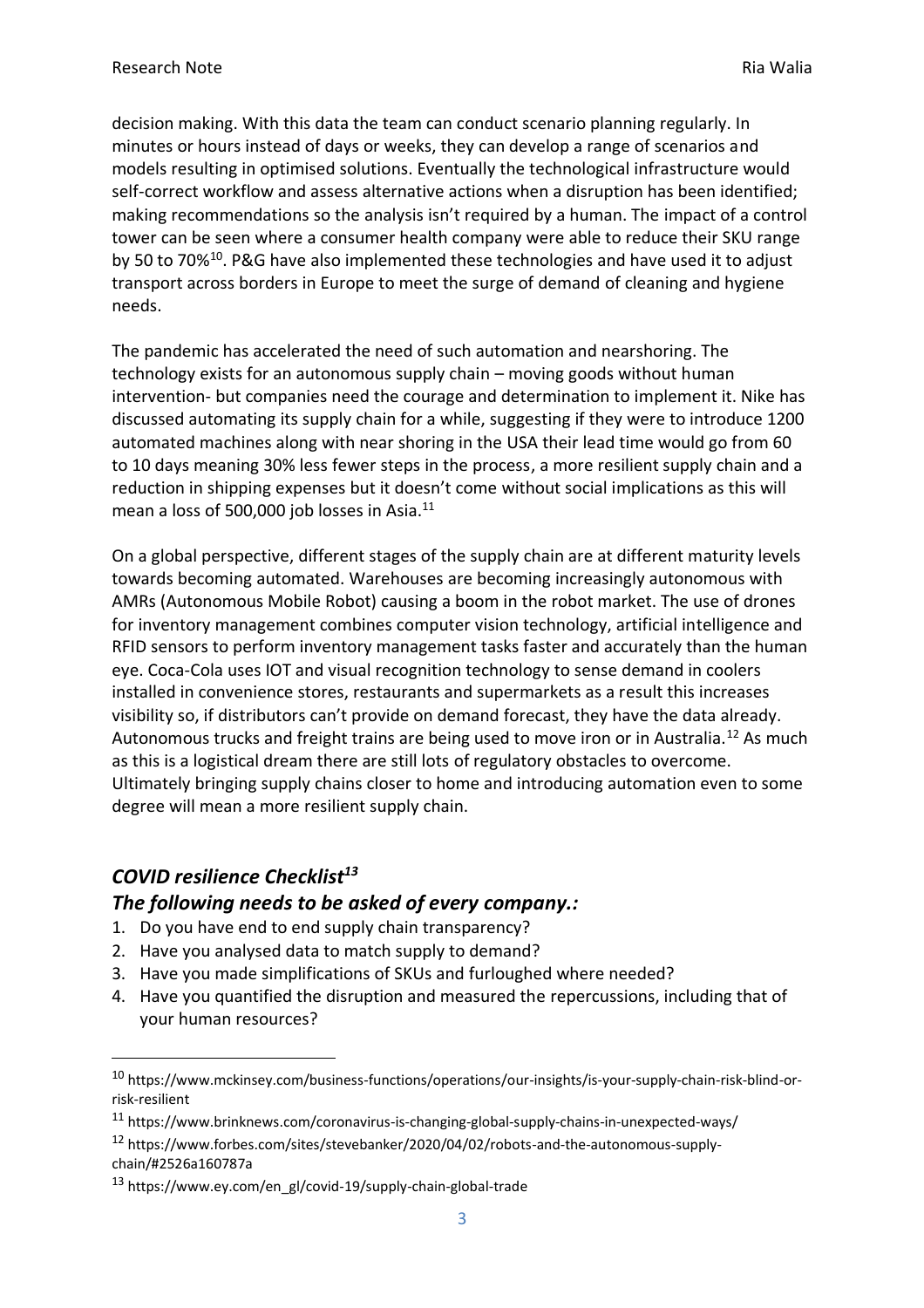decision making. With this data the team can conduct scenario planning regularly. In minutes or hours instead of days or weeks, they can develop a range of scenarios and models resulting in optimised solutions. Eventually the technological infrastructure would self-correct workflow and assess alternative actions when a disruption has been identified; making recommendations so the analysis isn't required by a human. The impact of a control tower can be seen where a consumer health company were able to reduce their SKU range by 50 to 70%<sup>10</sup>. P&G have also implemented these technologies and have used it to adjust transport across borders in Europe to meet the surge of demand of cleaning and hygiene needs.

The pandemic has accelerated the need of such automation and nearshoring. The technology exists for an autonomous supply chain – moving goods without human intervention- but companies need the courage and determination to implement it. Nike has discussed automating its supply chain for a while, suggesting if they were to introduce 1200 automated machines along with near shoring in the USA their lead time would go from 60 to 10 days meaning 30% less fewer steps in the process, a more resilient supply chain and a reduction in shipping expenses but it doesn't come without social implications as this will mean a loss of 500,000 job losses in Asia.<sup>11</sup>

On a global perspective, different stages of the supply chain are at different maturity levels towards becoming automated. Warehouses are becoming increasingly autonomous with AMRs (Autonomous Mobile Robot) causing a boom in the robot market. The use of drones for inventory management combines computer vision technology, artificial intelligence and RFID sensors to perform inventory management tasks faster and accurately than the human eye. Coca-Cola uses IOT and visual recognition technology to sense demand in coolers installed in convenience stores, restaurants and supermarkets as a result this increases visibility so, if distributors can't provide on demand forecast, they have the data already. Autonomous trucks and freight trains are being used to move iron or in Australia.<sup>12</sup> As much as this is a logistical dream there are still lots of regulatory obstacles to overcome. Ultimately bringing supply chains closer to home and introducing automation even to some degree will mean a more resilient supply chain.

# *COVID resilience Checklist<sup>13</sup> The following needs to be asked of every company.:*

- 1. Do you have end to end supply chain transparency?
- 2. Have you analysed data to match supply to demand?
- 3. Have you made simplifications of SKUs and furloughed where needed?
- 4. Have you quantified the disruption and measured the repercussions, including that of your human resources?

<sup>10</sup> https://www.mckinsey.com/business-functions/operations/our-insights/is-your-supply-chain-risk-blind-orrisk-resilient

<sup>11</sup> https://www.brinknews.com/coronavirus-is-changing-global-supply-chains-in-unexpected-ways/

<sup>12</sup> https://www.forbes.com/sites/stevebanker/2020/04/02/robots-and-the-autonomous-supplychain/#2526a160787a

<sup>13</sup> https://www.ey.com/en\_gl/covid-19/supply-chain-global-trade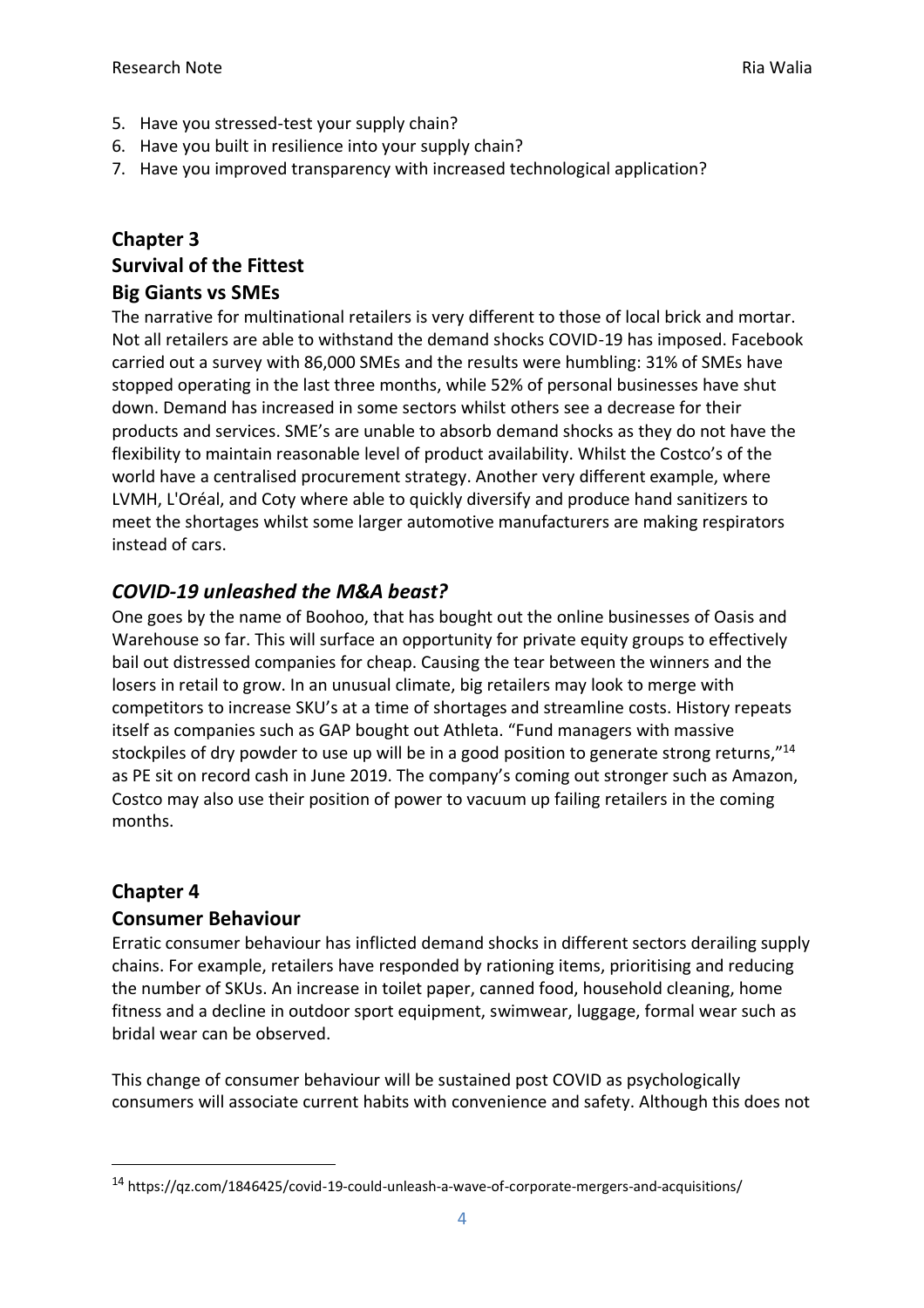- 5. Have you stressed-test your supply chain?
- 6. Have you built in resilience into your supply chain?
- 7. Have you improved transparency with increased technological application?

# **Chapter 3 Survival of the Fittest**

#### **Big Giants vs SMEs**

The narrative for multinational retailers is very different to those of local brick and mortar. Not all retailers are able to withstand the demand shocks COVID-19 has imposed. Facebook carried out a survey with 86,000 SMEs and the results were humbling: 31% of SMEs have stopped operating in the last three months, while 52% of personal businesses have shut down. Demand has increased in some sectors whilst others see a decrease for their products and services. SME's are unable to absorb demand shocks as they do not have the flexibility to maintain reasonable level of product availability. Whilst the Costco's of the world have a centralised procurement strategy. Another very different example, where LVMH, L'Oréal, and Coty where able to quickly diversify and produce hand sanitizers to meet the shortages whilst some larger automotive manufacturers are making respirators instead of cars.

### *COVID-19 unleashed the M&A beast?*

One goes by the name of Boohoo, that has bought out the online businesses of Oasis and Warehouse so far. This will surface an opportunity for private equity groups to effectively bail out distressed companies for cheap. Causing the tear between the winners and the losers in retail to grow. In an unusual climate, big retailers may look to merge with competitors to increase SKU's at a time of shortages and streamline costs. History repeats itself as companies such as GAP bought out Athleta. "Fund managers with massive stockpiles of dry powder to use up will be in a good position to generate strong returns,"<sup>14</sup> as PE sit on record cash in June 2019. The company's coming out stronger such as Amazon, Costco may also use their position of power to vacuum up failing retailers in the coming months.

#### **Chapter 4**

#### **Consumer Behaviour**

Erratic consumer behaviour has inflicted demand shocks in different sectors derailing supply chains. For example, retailers have responded by rationing items, prioritising and reducing the number of SKUs. An increase in toilet paper, canned food, household cleaning, home fitness and a decline in outdoor sport equipment, swimwear, luggage, formal wear such as bridal wear can be observed.

This change of consumer behaviour will be sustained post COVID as psychologically consumers will associate current habits with convenience and safety. Although this does not

<sup>14</sup> https://qz.com/1846425/covid-19-could-unleash-a-wave-of-corporate-mergers-and-acquisitions/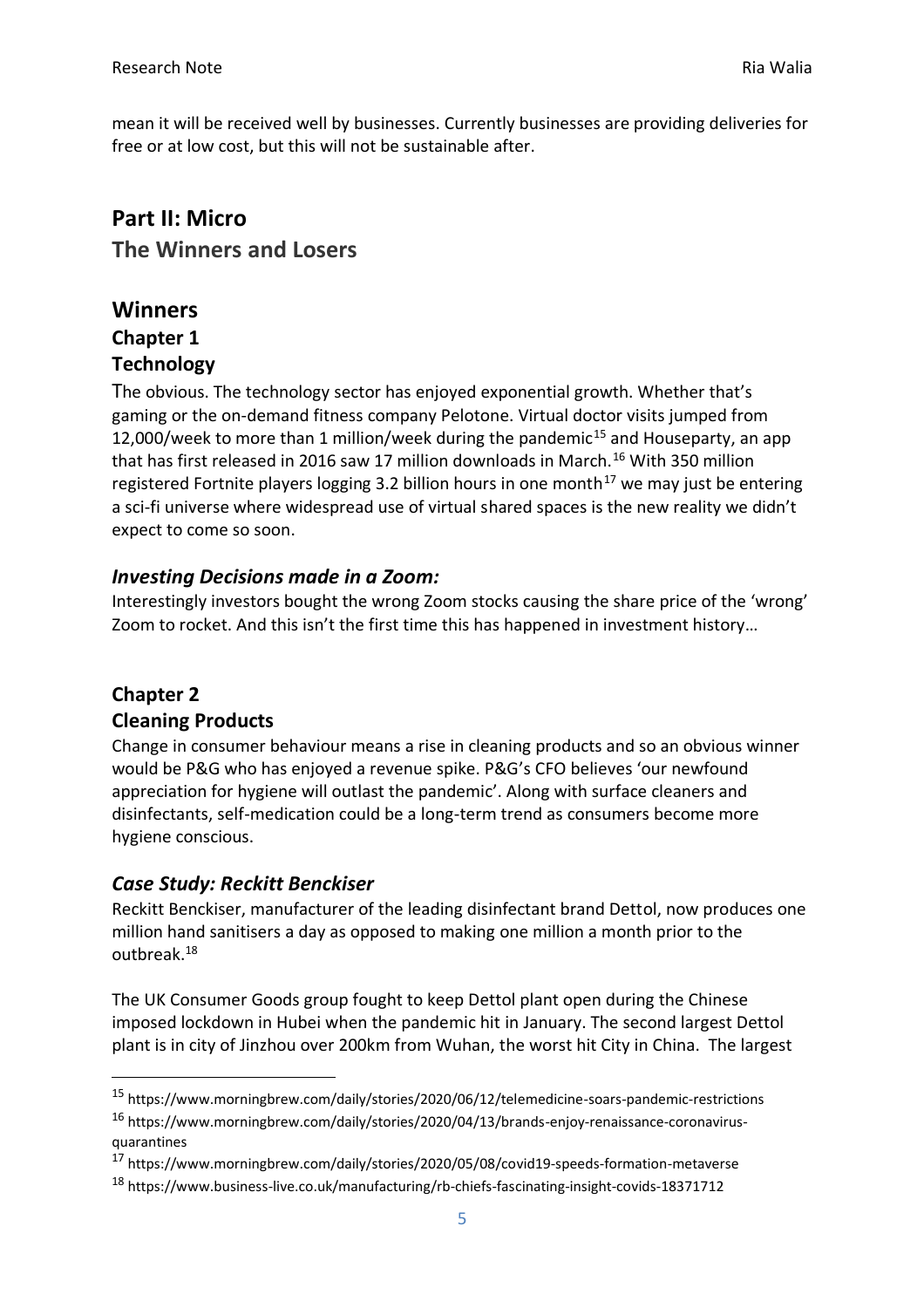mean it will be received well by businesses. Currently businesses are providing deliveries for free or at low cost, but this will not be sustainable after.

# **Part II: Micro The Winners and Losers**

# **Winners Chapter 1 Technology**

The obvious. The technology sector has enjoyed exponential growth. Whether that's gaming or the on-demand fitness company Pelotone. Virtual doctor visits jumped from 12,000/week to more than 1 million/week during the pandemic<sup>15</sup> and Houseparty, an app that has first released in 2016 saw 17 million downloads in March.<sup>16</sup> With 350 million registered Fortnite players logging 3.2 billion hours in one month<sup>17</sup> we may just be entering a sci-fi universe where widespread use of virtual shared spaces is the new reality we didn't expect to come so soon.

#### *Investing Decisions made in a Zoom:*

Interestingly investors bought the wrong Zoom stocks causing the share price of the 'wrong' Zoom to rocket. And this isn't the first time this has happened in investment history…

# **Chapter 2**

#### **Cleaning Products**

Change in consumer behaviour means a rise in cleaning products and so an obvious winner would be P&G who has enjoyed a revenue spike. P&G's CFO believes 'our newfound appreciation for hygiene will outlast the pandemic'. Along with surface cleaners and disinfectants, self-medication could be a long-term trend as consumers become more hygiene conscious.

#### *Case Study: Reckitt Benckiser*

Reckitt Benckiser, manufacturer of the leading disinfectant brand Dettol, now produces one million hand sanitisers a day as opposed to making one million a month prior to the outbreak. 18

The UK Consumer Goods group fought to keep Dettol plant open during the Chinese imposed lockdown in Hubei when the pandemic hit in January. The second largest Dettol plant is in city of Jinzhou over 200km from Wuhan, the worst hit City in China. The largest

<sup>15</sup> https://www.morningbrew.com/daily/stories/2020/06/12/telemedicine-soars-pandemic-restrictions

<sup>16</sup> https://www.morningbrew.com/daily/stories/2020/04/13/brands-enjoy-renaissance-coronavirusquarantines

<sup>17</sup> https://www.morningbrew.com/daily/stories/2020/05/08/covid19-speeds-formation-metaverse

<sup>18</sup> https://www.business-live.co.uk/manufacturing/rb-chiefs-fascinating-insight-covids-18371712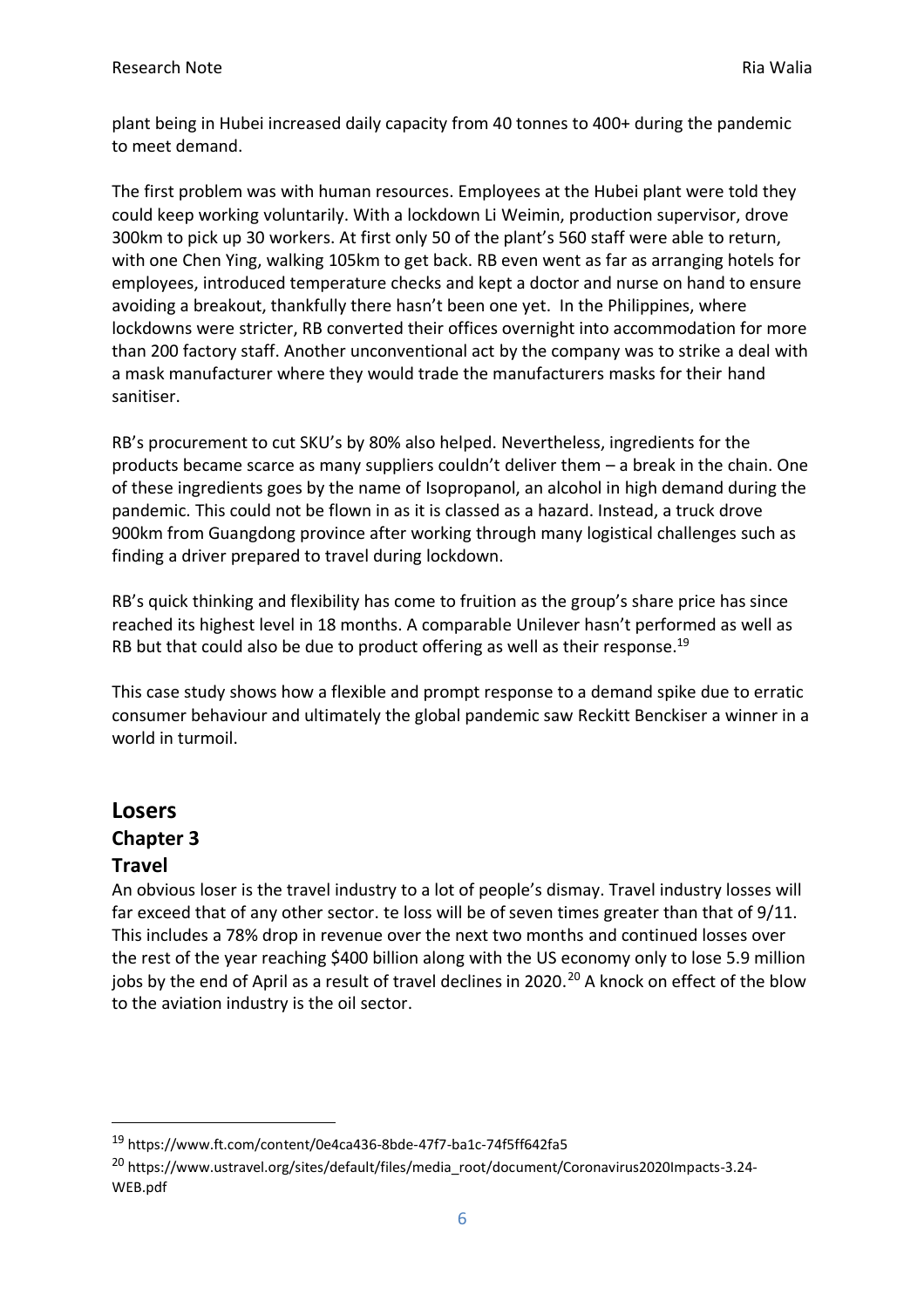plant being in Hubei increased daily capacity from 40 tonnes to 400+ during the pandemic to meet demand.

The first problem was with human resources. Employees at the Hubei plant were told they could keep working voluntarily. With a lockdown Li Weimin, production supervisor, drove 300km to pick up 30 workers. At first only 50 of the plant's 560 staff were able to return, with one Chen Ying, walking 105km to get back. RB even went as far as arranging hotels for employees, introduced temperature checks and kept a doctor and nurse on hand to ensure avoiding a breakout, thankfully there hasn't been one yet. In the Philippines, where lockdowns were stricter, RB converted their offices overnight into accommodation for more than 200 factory staff. Another unconventional act by the company was to strike a deal with a mask manufacturer where they would trade the manufacturers masks for their hand sanitiser.

RB's procurement to cut SKU's by 80% also helped. Nevertheless, ingredients for the products became scarce as many suppliers couldn't deliver them – a break in the chain. One of these ingredients goes by the name of Isopropanol, an alcohol in high demand during the pandemic. This could not be flown in as it is classed as a hazard. Instead, a truck drove 900km from Guangdong province after working through many logistical challenges such as finding a driver prepared to travel during lockdown.

RB's quick thinking and flexibility has come to fruition as the group's share price has since reached its highest level in 18 months. A comparable Unilever hasn't performed as well as RB but that could also be due to product offering as well as their response.<sup>19</sup>

This case study shows how a flexible and prompt response to a demand spike due to erratic consumer behaviour and ultimately the global pandemic saw Reckitt Benckiser a winner in a world in turmoil.

# **Losers Chapter 3 Travel**

An obvious loser is the travel industry to a lot of people's dismay. Travel industry losses will far exceed that of any other sector. te loss will be of seven times greater than that of 9/11. This includes a 78% drop in revenue over the next two months and continued losses over the rest of the year reaching \$400 billion along with the US economy only to lose 5.9 million jobs by the end of April as a result of travel declines in 2020.<sup>20</sup> A knock on effect of the blow to the aviation industry is the oil sector.

<sup>19</sup> https://www.ft.com/content/0e4ca436-8bde-47f7-ba1c-74f5ff642fa5

<sup>20</sup> https://www.ustravel.org/sites/default/files/media\_root/document/Coronavirus2020Impacts-3.24- WEB.pdf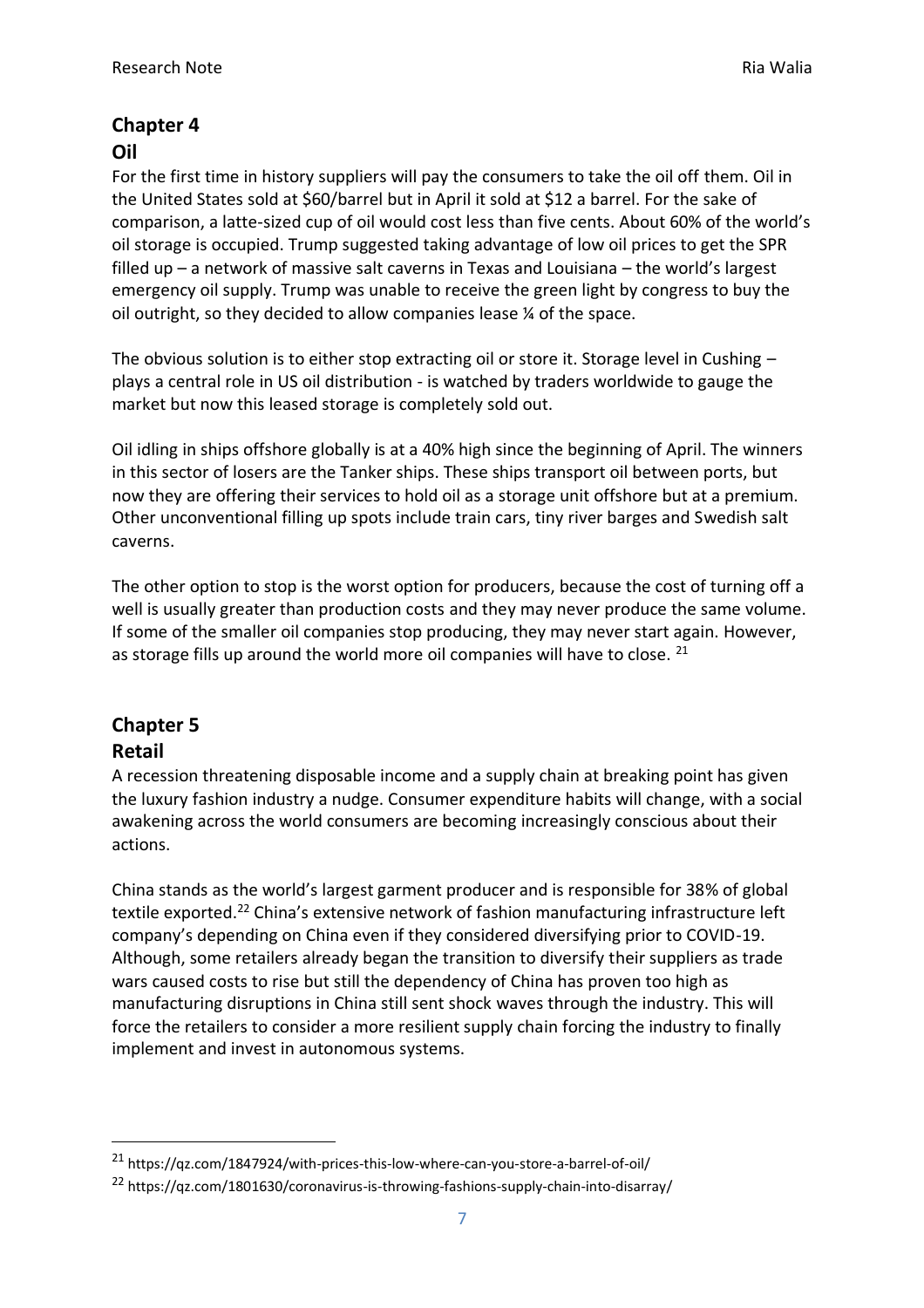#### **Chapter 4 Oil**

For the first time in history suppliers will pay the consumers to take the oil off them. Oil in the United States sold at \$60/barrel but in April it sold at \$12 a barrel. For the sake of comparison, a latte-sized cup of oil would cost less than five cents. About 60% of the world's oil storage is occupied. Trump suggested taking advantage of low oil prices to get the SPR filled up – a network of massive salt caverns in Texas and Louisiana – the world's largest emergency oil supply. Trump was unable to receive the green light by congress to buy the oil outright, so they decided to allow companies lease ¼ of the space.

The obvious solution is to either stop extracting oil or store it. Storage level in Cushing – plays a central role in US oil distribution - is watched by traders worldwide to gauge the market but now this leased storage is completely sold out.

Oil idling in ships offshore globally is at a 40% high since the beginning of April. The winners in this sector of losers are the Tanker ships. These ships transport oil between ports, but now they are offering their services to hold oil as a storage unit offshore but at a premium. Other unconventional filling up spots include train cars, tiny river barges and Swedish salt caverns.

The other option to stop is the worst option for producers, because the cost of turning off a well is usually greater than production costs and they may never produce the same volume. If some of the smaller oil companies stop producing, they may never start again. However, as storage fills up around the world more oil companies will have to close. <sup>21</sup>

# **Chapter 5 Retail**

A recession threatening disposable income and a supply chain at breaking point has given the luxury fashion industry a nudge. Consumer expenditure habits will change, with a social awakening across the world consumers are becoming increasingly conscious about their actions.

China stands as the world's largest garment producer and is responsible for 38% of global textile exported.<sup>22</sup> China's extensive network of fashion manufacturing infrastructure left company's depending on China even if they considered diversifying prior to COVID-19. Although, some retailers already began the transition to diversify their suppliers as trade wars caused costs to rise but still the dependency of China has proven too high as manufacturing disruptions in China still sent shock waves through the industry. This will force the retailers to consider a more resilient supply chain forcing the industry to finally implement and invest in autonomous systems.

<sup>21</sup> https://qz.com/1847924/with-prices-this-low-where-can-you-store-a-barrel-of-oil/

<sup>22</sup> https://qz.com/1801630/coronavirus-is-throwing-fashions-supply-chain-into-disarray/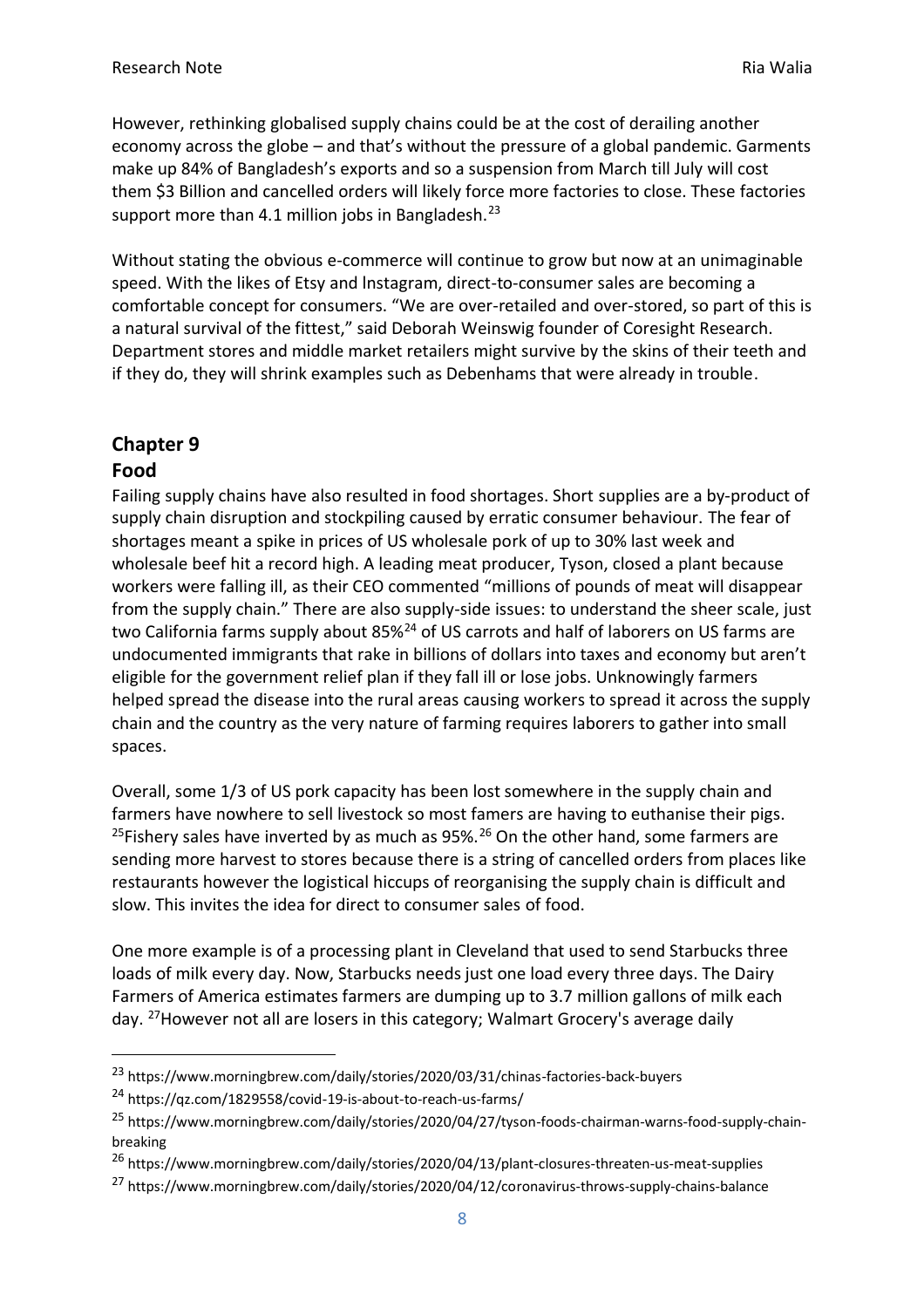However, rethinking globalised supply chains could be at the cost of derailing another economy across the globe – and that's without the pressure of a global pandemic. Garments make up 84% of Bangladesh's exports and so a suspension from March till July will cost them \$3 Billion and cancelled orders will likely force more factories to close. These factories support more than 4.1 million jobs in Bangladesh.<sup>23</sup>

Without stating the obvious e-commerce will continue to grow but now at an unimaginable speed. With the likes of Etsy and lnstagram, direct-to-consumer sales are becoming a comfortable concept for consumers. "We are over-retailed and over-stored, so part of this is a natural survival of the fittest," said Deborah Weinswig founder of Coresight Research. Department stores and middle market retailers might survive by the skins of their teeth and if they do, they will shrink examples such as Debenhams that were already in trouble.

# **Chapter 9**

#### **Food**

Failing supply chains have also resulted in food shortages. Short supplies are a by-product of supply chain disruption and stockpiling caused by erratic consumer behaviour. The fear of shortages meant a spike in prices of US wholesale pork of up to 30% last week and wholesale beef hit a record high. A leading meat producer, Tyson, closed a plant because workers were falling ill, as their CEO commented "millions of pounds of meat will disappear from the supply chain." There are also supply-side issues: to understand the sheer scale, just two California farms supply about 85%<sup>24</sup> of US carrots and half of laborers on US farms are undocumented immigrants that rake in billions of dollars into taxes and economy but aren't eligible for the government relief plan if they fall ill or lose jobs. Unknowingly farmers helped spread the disease into the rural areas causing workers to spread it across the supply chain and the country as the very nature of farming requires laborers to gather into small spaces.

Overall, some 1/3 of US pork capacity has been lost somewhere in the supply chain and farmers have nowhere to sell livestock so most famers are having to euthanise their pigs. <sup>25</sup>Fishery sales have inverted by as much as  $95\%$ .<sup>26</sup> On the other hand, some farmers are sending more harvest to stores because there is a string of cancelled orders from places like restaurants however the logistical hiccups of reorganising the supply chain is difficult and slow. This invites the idea for direct to consumer sales of food.

One more example is of a processing plant in Cleveland that used to send Starbucks three loads of milk every day. Now, Starbucks needs just one load every three days. The Dairy Farmers of America estimates farmers are dumping up to 3.7 million gallons of milk each day. <sup>27</sup>However not all are losers in this category; Walmart Grocery's average daily

<sup>23</sup> https://www.morningbrew.com/daily/stories/2020/03/31/chinas-factories-back-buyers

<sup>24</sup> https://qz.com/1829558/covid-19-is-about-to-reach-us-farms/

<sup>&</sup>lt;sup>25</sup> https://www.morningbrew.com/daily/stories/2020/04/27/tyson-foods-chairman-warns-food-supply-chainbreaking

<sup>26</sup> https://www.morningbrew.com/daily/stories/2020/04/13/plant-closures-threaten-us-meat-supplies

<sup>27</sup> https://www.morningbrew.com/daily/stories/2020/04/12/coronavirus-throws-supply-chains-balance